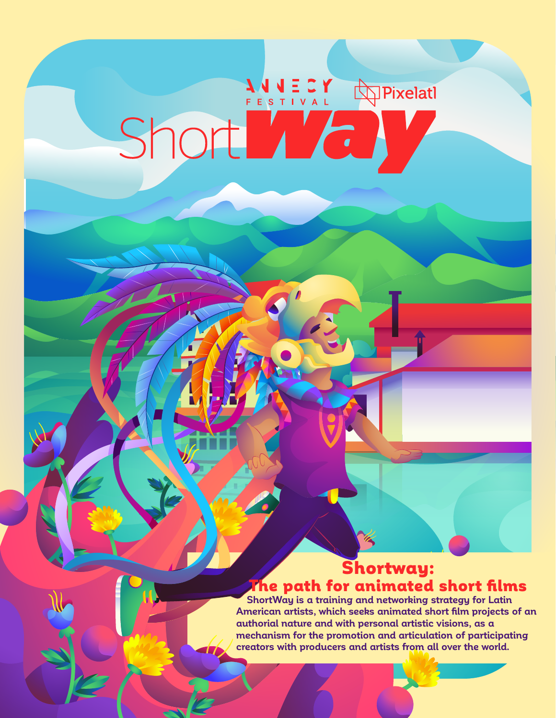# Short Co

# Shortway: The path for animated short films

 **ShortWay is a training and networking strategy for Latin American artists, which seeks animated short film projects of an authorial nature and with personal artistic visions, as a mechanism for the promotion and articulation of participating creators with producers and artists from all over the world.**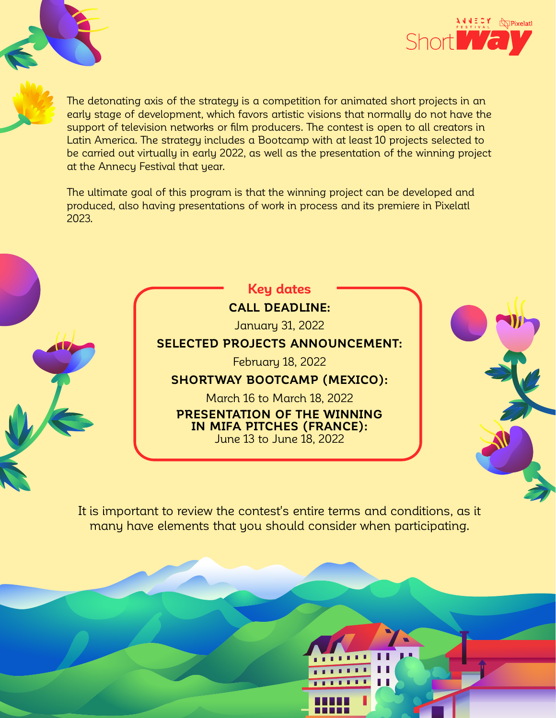

The detonating axis of the strategy is a competition for animated short projects in an early stage of development, which favors artistic visions that normally do not have the support of television networks or film producers. The contest is open to all creators in Latin America. The strategy includes a Bootcamp with at least 10 projects selected to be carried out virtually in early 2022, as well as the presentation of the winning project at the Annecy Festival that year.

The ultimate goal of this program is that the winning project can be developed and produced, also having presentations of work in process and its premiere in Pixelatl 2023.



March 16 to March 18, 2022 **PRESENTATION OF THE WINNING IN MIFA PITCHES (FRANCE):** June 13 to June 18, 2022

It is important to review the contest's entire terms and conditions, as it many have elements that you should consider when participating.

 $\mathbf{r}$ 

 $\mathbf{r}$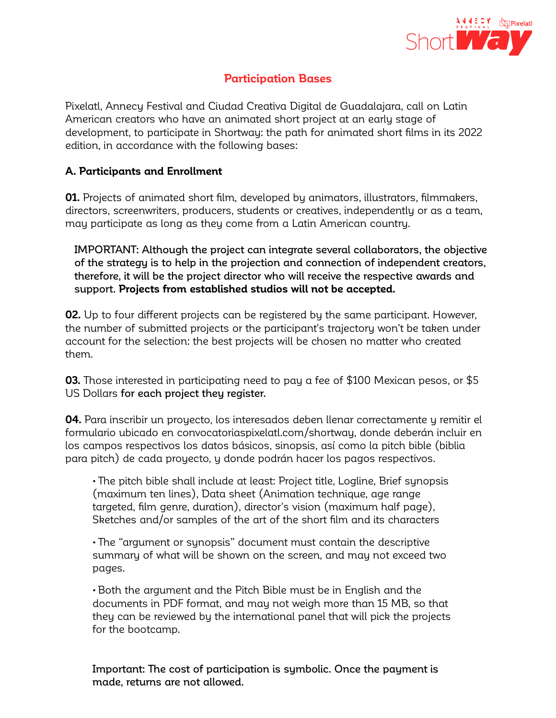

## **Participation Bases**

Pixelatl, Annecy Festival and Ciudad Creativa Digital de Guadalajara, call on Latin American creators who have an animated short project at an early stage of development, to participate in Shortway: the path for animated short films in its 2022 edition, in accordance with the following bases:

### **A. Participants and Enrollment**

**01.** Projects of animated short film, developed by animators, illustrators, filmmakers, directors, screenwriters, producers, students or creatives, independently or as a team, may participate as long as they come from a Latin American country.

IMPORTANT: Although the project can integrate several collaborators, the objective of the strategy is to help in the projection and connection of independent creators, therefore, it will be the project director who will receive the respective awards and support. **Projects from established studios will not be accepted.**

**02.** Up to four different projects can be registered by the same participant. However, the number of submitted projects or the participant's trajectory won't be taken under account for the selection: the best projects will be chosen no matter who created them.

**03.** Those interested in participating need to pay a fee of \$100 Mexican pesos, or \$5 US Dollars for each project they register.

**04.** Para inscribir un proyecto, los interesados deben llenar correctamente y remitir el formulario ubicado en convocatoriaspixelatl.com/shortway, donde deberán incluir en los campos respectivos los datos básicos, sinopsis, así como la pitch bible (biblia para pitch) de cada proyecto, y donde podrán hacer los pagos respectivos.

• The pitch bible shall include at least: Project title, Logline, Brief synopsis (maximum ten lines), Data sheet (Animation technique, age range targeted, film genre, duration), director's vision (maximum half page), Sketches and/or samples of the art of the short film and its characters

• The "argument or synopsis" document must contain the descriptive summary of what will be shown on the screen, and may not exceed two pages.

• Both the argument and the Pitch Bible must be in English and the documents in PDF format, and may not weigh more than 15 MB, so that they can be reviewed by the international panel that will pick the projects for the bootcamp.

Important: The cost of participation is symbolic. Once the payment is made, returns are not allowed.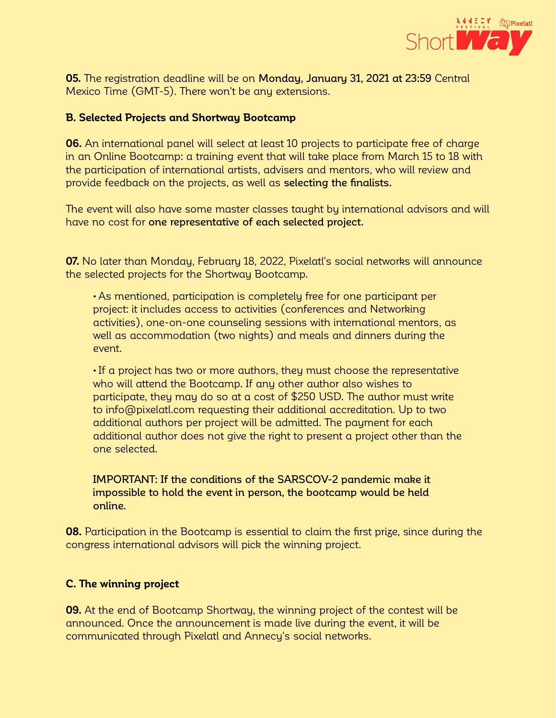

**05.** The registration deadline will be on Monday, January 31, 2021 at 23:59 Central Mexico Time (GMT-5). There won't be any extensions.

### **B. Selected Projects and Shortway Bootcamp**

**06.** An international panel will select at least 10 projects to participate free of charge in an Online Bootcamp: a training event that will take place from March 15 to 18 with the participation of international artists, advisers and mentors, who will review and provide feedback on the projects, as well as selecting the finalists.

The event will also have some master classes taught by international advisors and will have no cost for one representative of each selected project.

**07.** No later than Monday, February 18, 2022, Pixelatl's social networks will announce the selected projects for the Shortway Bootcamp.

• As mentioned, participation is completely free for one participant per project: it includes access to activities (conferences and Networking activities), one-on-one counseling sessions with international mentors, as well as accommodation (two nights) and meals and dinners during the event.

• If a project has two or more authors, they must choose the representative who will attend the Bootcamp. If any other author also wishes to participate, they may do so at a cost of \$250 USD. The author must write to info@pixelatl.com requesting their additional accreditation. Up to two additional authors per project will be admitted. The payment for each additional author does not give the right to present a project other than the one selected.

IMPORTANT: If the conditions of the SARSCOV-2 pandemic make it impossible to hold the event in person, the bootcamp would be held online.

**08.** Participation in the Bootcamp is essential to claim the first prize, since during the congress international advisors will pick the winning project.

### **C. The winning project**

**09.** At the end of Bootcamp Shortway, the winning project of the contest will be announced. Once the announcement is made live during the event, it will be communicated through Pixelatl and Annecy's social networks.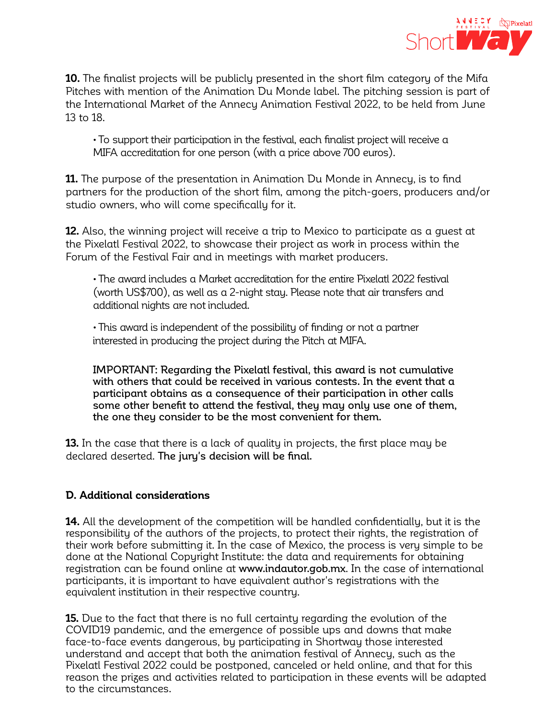

**10.** The finalist projects will be publicly presented in the short film category of the Mifa Pitches with mention of the Animation Du Monde label. The pitching session is part of the International Market of the Annecy Animation Festival 2022, to be held from June 13 to 18.

• To support their participation in the festival, each finalist project will receive a MIFA accreditation for one person (with a price above 700 euros).

**11.** The purpose of the presentation in Animation Du Monde in Annecy, is to find partners for the production of the short film, among the pitch-goers, producers and/or studio owners, who will come specifically for it.

**12.** Also, the winning project will receive a trip to Mexico to participate as a guest at the Pixelatl Festival 2022, to showcase their project as work in process within the Forum of the Festival Fair and in meetings with market producers.

• The award includes a Market accreditation for the entire Pixelatl 2022 festival (worth US\$700), as well as a 2-night stay. Please note that air transfers and additional nights are not included.

• This award is independent of the possibility of finding or not a partner interested in producing the project during the Pitch at MIFA.

IMPORTANT: Regarding the Pixelatl festival, this award is not cumulative with others that could be received in various contests. In the event that a participant obtains as a consequence of their participation in other calls some other benefit to attend the festival, they may only use one of them, the one they consider to be the most convenient for them.

**13.** In the case that there is a lack of quality in projects, the first place may be declared deserted. The jury's decision will be final.

### **D. Additional considerations**

**14.** All the development of the competition will be handled confidentially, but it is the responsibility of the authors of the projects, to protect their rights, the registration of their work before submitting it. In the case of Mexico, the process is very simple to be done at the National Copyright Institute: the data and requirements for obtaining registration can be found online at www.indautor.gob.mx. In the case of international participants, it is important to have equivalent author's registrations with the equivalent institution in their respective country.

**15.** Due to the fact that there is no full certainty regarding the evolution of the COVID19 pandemic, and the emergence of possible ups and downs that make face-to-face events dangerous, by participating in Shortway those interested understand and accept that both the animation festival of Annecy, such as the Pixelatl Festival 2022 could be postponed, canceled or held online, and that for this reason the prizes and activities related to participation in these events will be adapted to the circumstances.